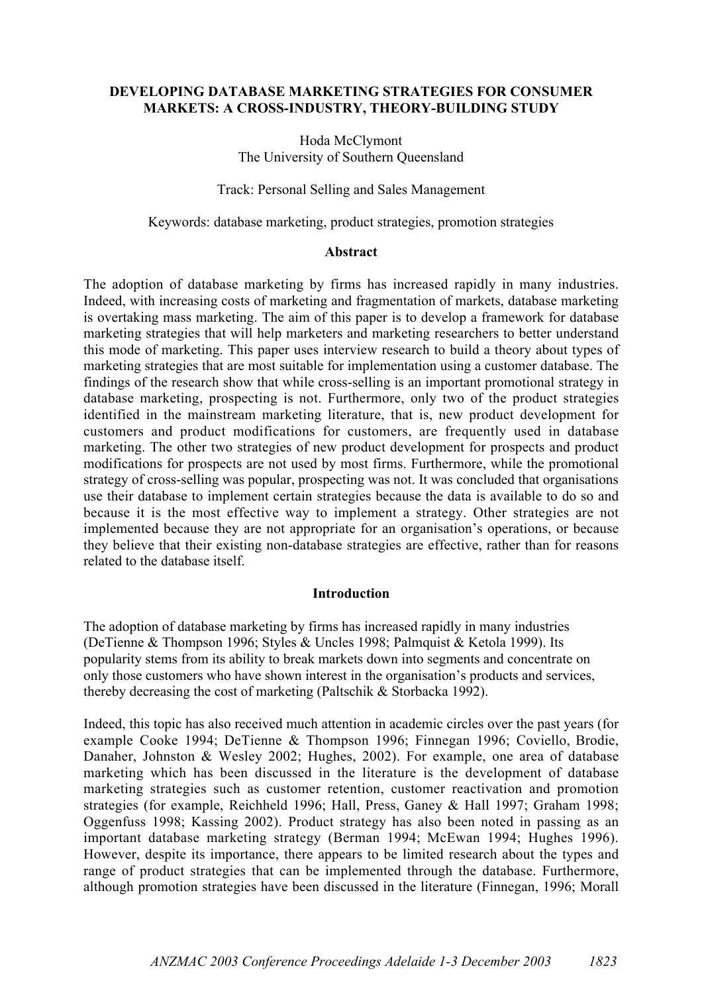# DEVELOPING DATABASE MARKETING STRATEGIES FOR CONSUMER MARKETS: A CROSS-INDUSTRY, THEORY-BUILDING STUDY

Hoda McClymont The University of Southern Queensland

Track: Personal Selling and Sales Management

Keywords: database marketing, product strategies, promotion strategies

#### Abstract

The adoption of database marketing by firms has increased rapidly in many industries. Indeed, with increasing costs of marketing and fragmentation of markets, database marketing is overtaking mass marketing. The aim of this paper is to develop a framework for database marketing strategies that will help marketers and marketing researchers to better understand this mode of marketing. This paper uses interview research to build a theory about types of marketing strategies that are most suitable for implementation using a customer database. The findings of the research show that while cross-selling is an important promotional strategy in database marketing, prospecting is not. Furthermore, only two of the product strategies identified in the mainstream marketing literature, that is, new product development for customers and product modifications for customers, are frequently used in database marketing. The other two strategies of new product development for prospects and product modifications for prospects are not used by most firms. Furthermore, while the promotional strategy of cross-selling was popular, prospecting was not. It was concluded that organisations use their database to implement certain strategies because the data is available to do so and because it is the most effective way to implement a strategy. Other strategies are not implemented because they are not appropriate for an organisation's operations, or because they believe that their existing non-database strategies are effective, rather than for reasons related to the database itself.

### Introduction

The adoption of database marketing by firms has increased rapidly in many industries (DeTienne & Thompson 1996; Styles & Uncles 1998; Palmquist & Ketola 1999). Its popularity stems from its ability to break markets down into segments and concentrate on only those customers who have shown interest in the organisation's products and services, thereby decreasing the cost of marketing (Paltschik & Storbacka 1992).

Indeed, this topic has also received much attention in academic circles over the past years (for example Cooke 1994; DeTienne & Thompson 1996; Finnegan 1996; Coviello, Brodie, Danaher, Johnston & Wesley 2002; Hughes, 2002). For example, one area of database marketing which has been discussed in the literature is the development of database marketing strategies such as customer retention, customer reactivation and promotion strategies (for example, Reichheld 1996; Hall, Press, Ganey & Hall 1997; Graham 1998; Oggenfuss 1998; Kassing 2002). Product strategy has also been noted in passing as an important database marketing strategy (Berman 1994; McEwan 1994; Hughes 1996). However, despite its importance, there appears to be limited research about the types and range of product strategies that can be implemented through the database. Furthermore, although promotion strategies have been discussed in the literature (Finnegan, 1996; Morall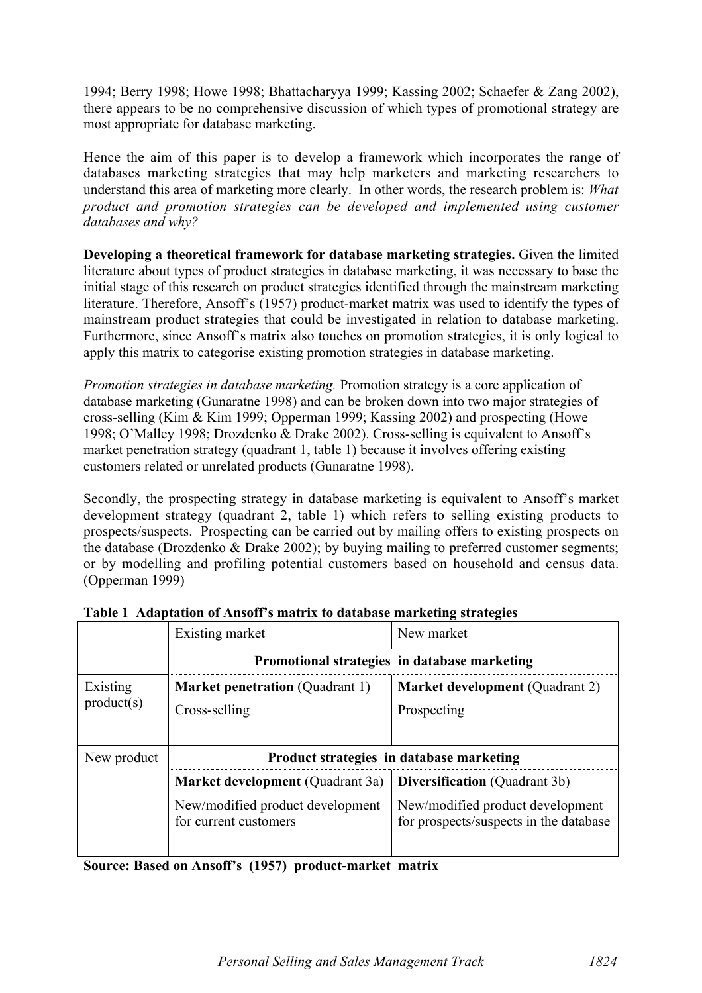1994; Berry 1998; Howe 1998; Bhattacharyya 1999; Kassing 2002; Schaefer & Zang 2002), there appears to be no comprehensive discussion of which types of promotional strategy are most appropriate for database marketing.

Hence the aim of this paper is to develop a framework which incorporates the range of databases marketing strategies that may help marketers and marketing researchers to understand this area of marketing more clearly. In other words, the research problem is: *What product and promotion strategies can be developed and implemented using customer databases and why?*

Developing a theoretical framework for database marketing strategies. Given the limited literature about types of product strategies in database marketing, it was necessary to base the initial stage of this research on product strategies identified through the mainstream marketing literature. Therefore, Ansoff's (1957) product-market matrix was used to identify the types of mainstream product strategies that could be investigated in relation to database marketing. Furthermore, since Ansoff's matrix also touches on promotion strategies, it is only logical to apply this matrix to categorise existing promotion strategies in database marketing.

*Promotion strategies in database marketing.* Promotion strategy is a core application of database marketing (Gunaratne 1998) and can be broken down into two major strategies of cross-selling (Kim & Kim 1999; Opperman 1999; Kassing 2002) and prospecting (Howe 1998; O'Malley 1998; Drozdenko & Drake 2002). Cross-selling is equivalent to Ansoff's market penetration strategy (quadrant 1, table 1) because it involves offering existing customers related or unrelated products (Gunaratne 1998).

Secondly, the prospecting strategy in database marketing is equivalent to Ansoff's market development strategy (quadrant 2, table 1) which refers to selling existing products to prospects/suspects. Prospecting can be carried out by mailing offers to existing prospects on the database (Drozdenko & Drake 2002); by buying mailing to preferred customer segments; or by modelling and profiling potential customers based on household and census data. (Opperman 1999)

|                        | Existing market                              | New market                               |  |  |  |  |  |
|------------------------|----------------------------------------------|------------------------------------------|--|--|--|--|--|
|                        | Promotional strategies in database marketing |                                          |  |  |  |  |  |
| Existing<br>product(s) | <b>Market penetration</b> (Quadrant 1)       | <b>Market development</b> (Quadrant 2)   |  |  |  |  |  |
|                        | Cross-selling                                | Prospecting                              |  |  |  |  |  |
|                        |                                              |                                          |  |  |  |  |  |
| New product            |                                              | Product strategies in database marketing |  |  |  |  |  |
|                        |                                              |                                          |  |  |  |  |  |
|                        | <b>Market development</b> (Quadrant 3a)      | <b>Diversification</b> (Quadrant 3b)     |  |  |  |  |  |

Table 1 Adaptation of Ansoff's matrix to database marketing strategies

Source: Based on Ansoff's (1957) product-market matrix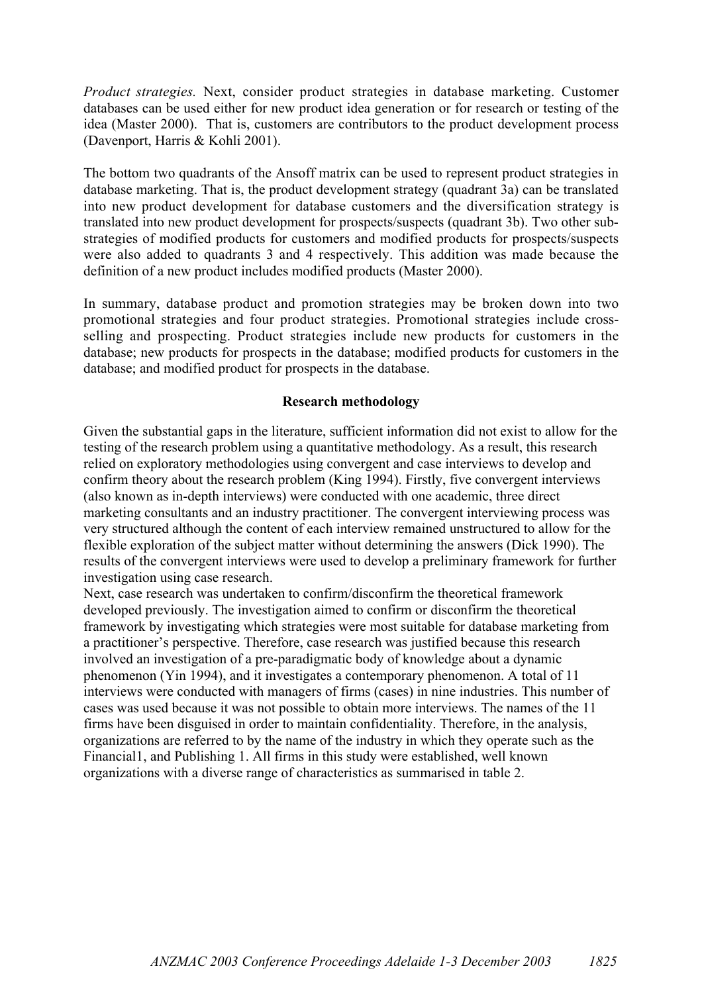*Product strategies.* Next, consider product strategies in database marketing. Customer databases can be used either for new product idea generation or for research or testing of the idea (Master 2000). That is, customers are contributors to the product development process (Davenport, Harris & Kohli 2001).

The bottom two quadrants of the Ansoff matrix can be used to represent product strategies in database marketing. That is, the product development strategy (quadrant 3a) can be translated into new product development for database customers and the diversification strategy is translated into new product development for prospects/suspects (quadrant 3b). Two other substrategies of modified products for customers and modified products for prospects/suspects were also added to quadrants 3 and 4 respectively. This addition was made because the definition of a new product includes modified products (Master 2000).

In summary, database product and promotion strategies may be broken down into two promotional strategies and four product strategies. Promotional strategies include crossselling and prospecting. Product strategies include new products for customers in the database; new products for prospects in the database; modified products for customers in the database; and modified product for prospects in the database.

### Research methodology

Given the substantial gaps in the literature, sufficient information did not exist to allow for the testing of the research problem using a quantitative methodology. As a result, this research relied on exploratory methodologies using convergent and case interviews to develop and confirm theory about the research problem (King 1994). Firstly, five convergent interviews (also known as in-depth interviews) were conducted with one academic, three direct marketing consultants and an industry practitioner. The convergent interviewing process was very structured although the content of each interview remained unstructured to allow for the flexible exploration of the subject matter without determining the answers (Dick 1990). The results of the convergent interviews were used to develop a preliminary framework for further investigation using case research.

Next, case research was undertaken to confirm/disconfirm the theoretical framework developed previously. The investigation aimed to confirm or disconfirm the theoretical framework by investigating which strategies were most suitable for database marketing from a practitioner's perspective. Therefore, case research was justified because this research involved an investigation of a pre-paradigmatic body of knowledge about a dynamic phenomenon (Yin 1994), and it investigates a contemporary phenomenon. A total of 11 interviews were conducted with managers of firms (cases) in nine industries. This number of cases was used because it was not possible to obtain more interviews. The names of the 11 firms have been disguised in order to maintain confidentiality. Therefore, in the analysis, organizations are referred to by the name of the industry in which they operate such as the Financial1, and Publishing 1. All firms in this study were established, well known organizations with a diverse range of characteristics as summarised in table 2.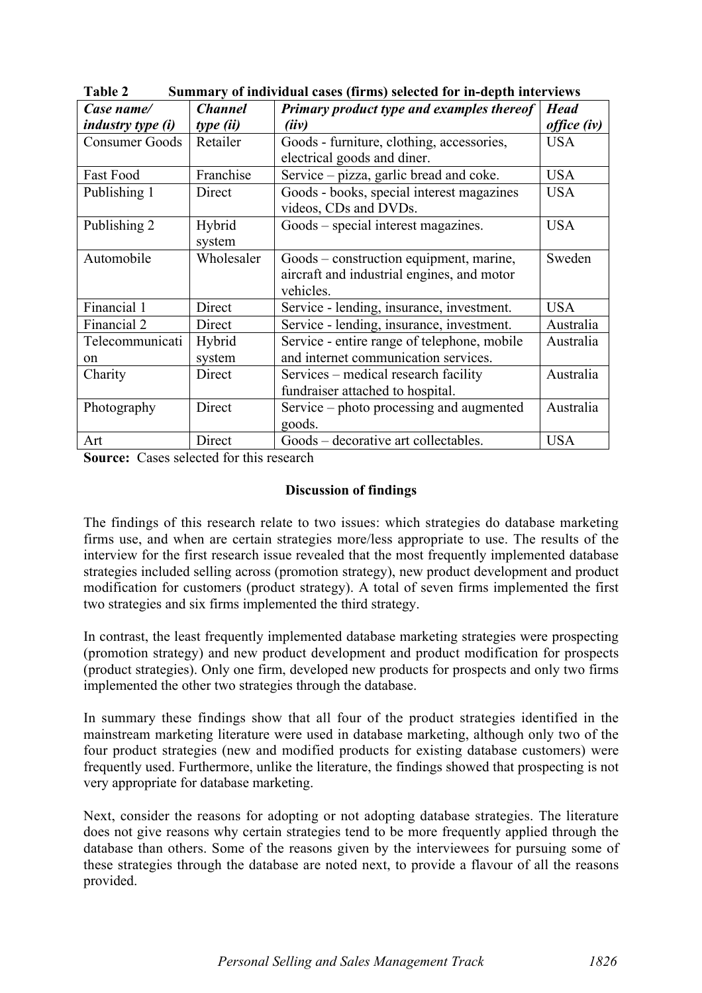| Case name/               | <b>Channel</b> | Primary product type and examples thereof   | <b>Head</b>        |
|--------------------------|----------------|---------------------------------------------|--------------------|
| <i>industry type (i)</i> | type (ii)      | (iiv)                                       | <i>office (iv)</i> |
| <b>Consumer Goods</b>    | Retailer       | Goods - furniture, clothing, accessories,   | <b>USA</b>         |
|                          |                | electrical goods and diner.                 |                    |
| Fast Food                | Franchise      | Service – pizza, garlic bread and coke.     | <b>USA</b>         |
| Publishing 1             | Direct         | Goods - books, special interest magazines   | <b>USA</b>         |
|                          |                | videos, CDs and DVDs.                       |                    |
| Publishing 2             | Hybrid         | Goods – special interest magazines.         | <b>USA</b>         |
|                          | system         |                                             |                    |
| Automobile               | Wholesaler     | Goods – construction equipment, marine,     | Sweden             |
|                          |                | aircraft and industrial engines, and motor  |                    |
|                          |                | vehicles.                                   |                    |
| Financial 1              | Direct         | Service - lending, insurance, investment.   | <b>USA</b>         |
| Financial 2              | Direct         | Service - lending, insurance, investment.   | Australia          |
| Telecommunicati          | Hybrid         | Service - entire range of telephone, mobile | Australia          |
| on                       | system         | and internet communication services.        |                    |
| Charity                  | Direct         | Services – medical research facility        | Australia          |
|                          |                | fundraiser attached to hospital.            |                    |
| Photography              | Direct         | Service – photo processing and augmented    | Australia          |
|                          |                | goods.                                      |                    |
| Art                      | Direct         | Goods – decorative art collectables.        | <b>USA</b>         |

Table 2 Summary of individual cases (firms) selected for in-depth interviews

Source: Cases selected for this research

## Discussion of findings

The findings of this research relate to two issues: which strategies do database marketing firms use, and when are certain strategies more/less appropriate to use. The results of the interview for the first research issue revealed that the most frequently implemented database strategies included selling across (promotion strategy), new product development and product modification for customers (product strategy). A total of seven firms implemented the first two strategies and six firms implemented the third strategy.

In contrast, the least frequently implemented database marketing strategies were prospecting (promotion strategy) and new product development and product modification for prospects (product strategies). Only one firm, developed new products for prospects and only two firms implemented the other two strategies through the database.

In summary these findings show that all four of the product strategies identified in the mainstream marketing literature were used in database marketing, although only two of the four product strategies (new and modified products for existing database customers) were frequently used. Furthermore, unlike the literature, the findings showed that prospecting is not very appropriate for database marketing.

Next, consider the reasons for adopting or not adopting database strategies. The literature does not give reasons why certain strategies tend to be more frequently applied through the database than others. Some of the reasons given by the interviewees for pursuing some of these strategies through the database are noted next, to provide a flavour of all the reasons provided.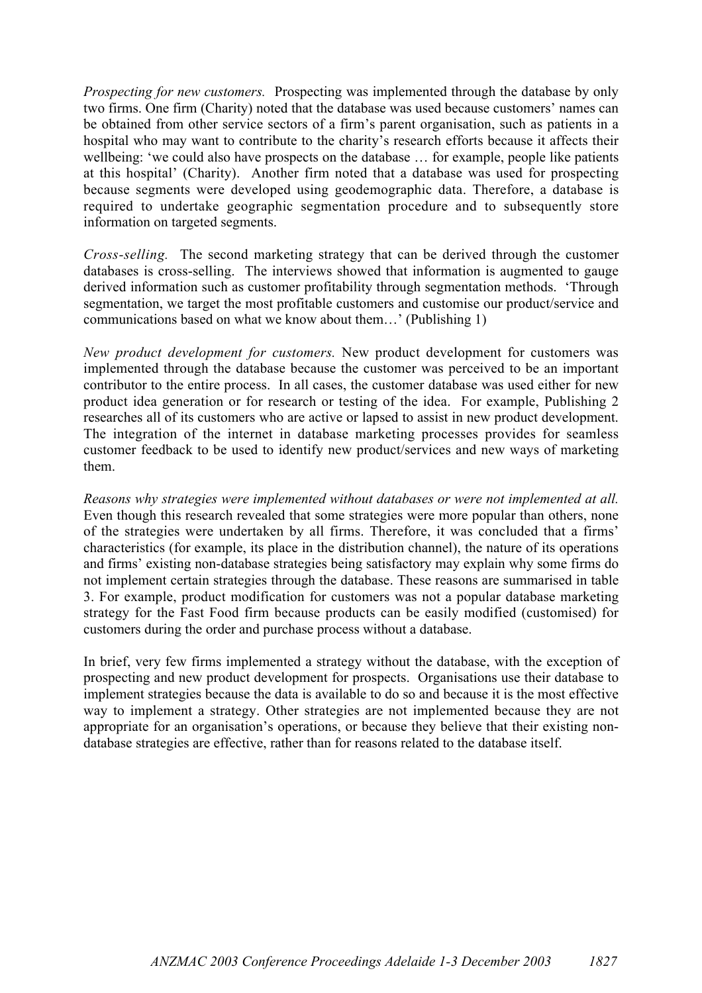*Prospecting for new customers.* Prospecting was implemented through the database by only two firms. One firm (Charity) noted that the database was used because customers' names can be obtained from other service sectors of a firm's parent organisation, such as patients in a hospital who may want to contribute to the charity's research efforts because it affects their wellbeing: 'we could also have prospects on the database … for example, people like patients at this hospital' (Charity). Another firm noted that a database was used for prospecting because segments were developed using geodemographic data. Therefore, a database is required to undertake geographic segmentation procedure and to subsequently store information on targeted segments.

*Cross-selling.* The second marketing strategy that can be derived through the customer databases is cross-selling. The interviews showed that information is augmented to gauge derived information such as customer profitability through segmentation methods. 'Through segmentation, we target the most profitable customers and customise our product/service and communications based on what we know about them…' (Publishing 1)

*New product development for customers.* New product development for customers was implemented through the database because the customer was perceived to be an important contributor to the entire process. In all cases, the customer database was used either for new product idea generation or for research or testing of the idea. For example, Publishing 2 researches all of its customers who are active or lapsed to assist in new product development. The integration of the internet in database marketing processes provides for seamless customer feedback to be used to identify new product/services and new ways of marketing them.

*Reasons why strategies were implemented without databases or were not implemented at all.* Even though this research revealed that some strategies were more popular than others, none of the strategies were undertaken by all firms. Therefore, it was concluded that a firms' characteristics (for example, its place in the distribution channel), the nature of its operations and firms' existing non-database strategies being satisfactory may explain why some firms do not implement certain strategies through the database. These reasons are summarised in table 3. For example, product modification for customers was not a popular database marketing strategy for the Fast Food firm because products can be easily modified (customised) for customers during the order and purchase process without a database.

In brief, very few firms implemented a strategy without the database, with the exception of prospecting and new product development for prospects. Organisations use their database to implement strategies because the data is available to do so and because it is the most effective way to implement a strategy. Other strategies are not implemented because they are not appropriate for an organisation's operations, or because they believe that their existing nondatabase strategies are effective, rather than for reasons related to the database itself.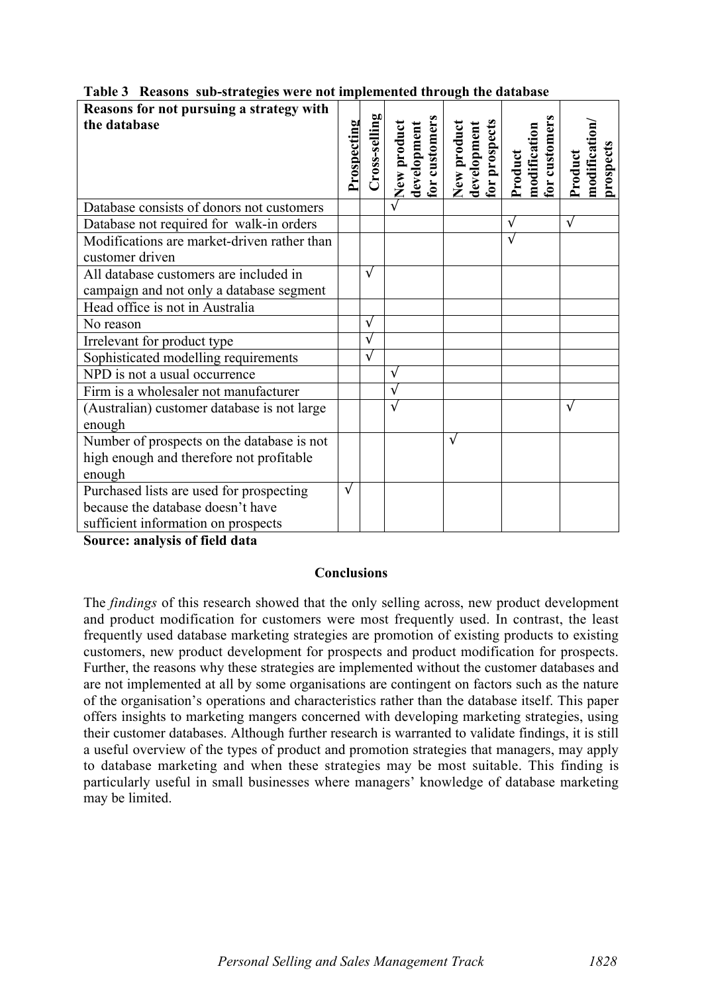| Reasons for not pursuing a strategy with<br>the database | Prospecting | $C$ ross-selling | for customers<br>New product<br>development | for prospects<br>New product<br>development | for customers<br>modification<br>Product | modification<br>prospects<br>Product |
|----------------------------------------------------------|-------------|------------------|---------------------------------------------|---------------------------------------------|------------------------------------------|--------------------------------------|
|                                                          |             |                  |                                             |                                             |                                          |                                      |
| Database consists of donors not customers                |             |                  |                                             |                                             |                                          |                                      |
| Database not required for walk-in orders                 |             |                  |                                             |                                             |                                          | $\sqrt{ }$                           |
| Modifications are market-driven rather than              |             |                  |                                             |                                             |                                          |                                      |
| customer driven                                          |             |                  |                                             |                                             |                                          |                                      |
| All database customers are included in                   |             | $\sqrt{ }$       |                                             |                                             |                                          |                                      |
| campaign and not only a database segment                 |             |                  |                                             |                                             |                                          |                                      |
| Head office is not in Australia                          |             |                  |                                             |                                             |                                          |                                      |
| No reason                                                |             | $\sqrt{}$        |                                             |                                             |                                          |                                      |
| Irrelevant for product type                              |             | $\sqrt{ }$       |                                             |                                             |                                          |                                      |
| Sophisticated modelling requirements                     |             | $\sqrt{ }$       |                                             |                                             |                                          |                                      |
| NPD is not a usual occurrence                            |             |                  |                                             |                                             |                                          |                                      |
| Firm is a wholesaler not manufacturer                    |             |                  |                                             |                                             |                                          |                                      |
| (Australian) customer database is not large              |             |                  |                                             |                                             |                                          |                                      |
| enough                                                   |             |                  |                                             |                                             |                                          |                                      |
| Number of prospects on the database is not               |             |                  |                                             | V                                           |                                          |                                      |
| high enough and therefore not profitable                 |             |                  |                                             |                                             |                                          |                                      |
| enough                                                   |             |                  |                                             |                                             |                                          |                                      |
| Purchased lists are used for prospecting                 | $\sqrt{ }$  |                  |                                             |                                             |                                          |                                      |
| because the database doesn't have                        |             |                  |                                             |                                             |                                          |                                      |
| sufficient information on prospects                      |             |                  |                                             |                                             |                                          |                                      |

Table 3 Reasons sub-strategies were not implemented through the database

Source: analysis of field data

### **Conclusions**

The *findings* of this research showed that the only selling across, new product development and product modification for customers were most frequently used. In contrast, the least frequently used database marketing strategies are promotion of existing products to existing customers, new product development for prospects and product modification for prospects. Further, the reasons why these strategies are implemented without the customer databases and are not implemented at all by some organisations are contingent on factors such as the nature of the organisation's operations and characteristics rather than the database itself. This paper offers insights to marketing mangers concerned with developing marketing strategies, using their customer databases. Although further research is warranted to validate findings, it is still a useful overview of the types of product and promotion strategies that managers, may apply to database marketing and when these strategies may be most suitable. This finding is particularly useful in small businesses where managers' knowledge of database marketing may be limited.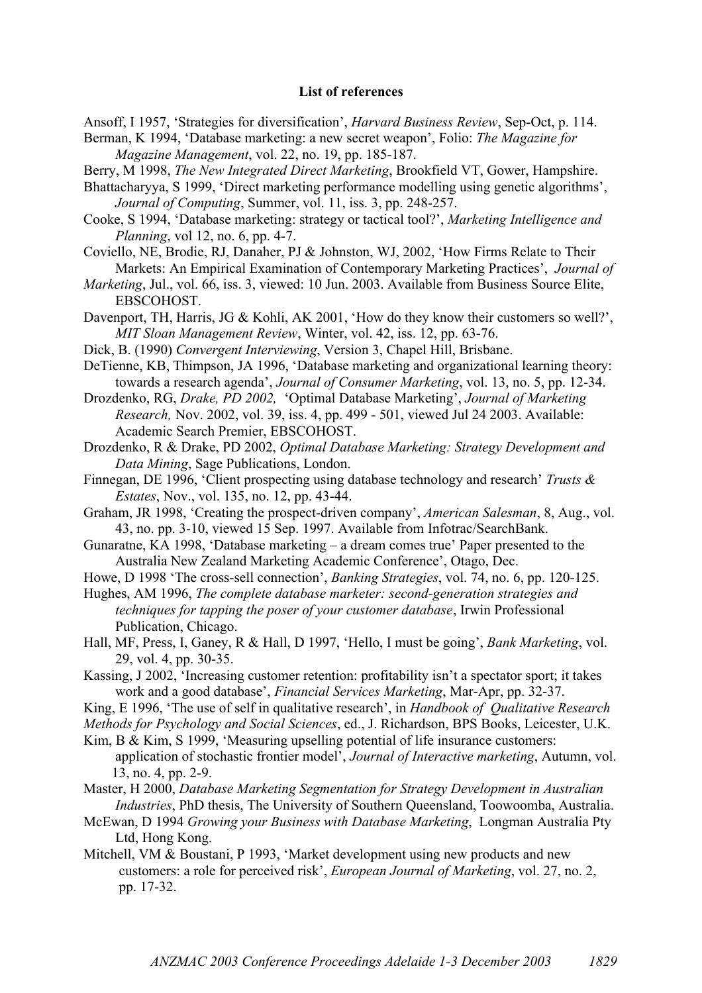#### List of references

Ansoff, I 1957, 'Strategies for diversification', *Harvard Business Review*, Sep-Oct, p. 114.

Berman, K 1994, 'Database marketing: a new secret weapon', Folio: *The Magazine for Magazine Management*, vol. 22, no. 19, pp. 185-187.

Berry, M 1998, *The New Integrated Direct Marketing*, Brookfield VT, Gower, Hampshire.

Bhattacharyya, S 1999, 'Direct marketing performance modelling using genetic algorithms', *Journal of Computing*, Summer, vol. 11, iss. 3, pp. 248-257.

- Cooke, S 1994, 'Database marketing: strategy or tactical tool?', *Marketing Intelligence and Planning*, vol 12, no. 6, pp. 4-7.
- Coviello, NE, Brodie, RJ, Danaher, PJ & Johnston, WJ, 2002, 'How Firms Relate to Their Markets: An Empirical Examination of Contemporary Marketing Practices', *Journal of*
- *Marketing*, Jul., vol. 66, iss. 3, viewed: 10 Jun. 2003. Available from Business Source Elite, EBSCOHOST.
- Davenport, TH, Harris, JG & Kohli, AK 2001, 'How do they know their customers so well?', *MIT Sloan Management Review*, Winter, vol. 42, iss. 12, pp. 63-76.
- Dick, B. (1990) *Convergent Interviewing*, Version 3, Chapel Hill, Brisbane.
- DeTienne, KB, Thimpson, JA 1996, 'Database marketing and organizational learning theory: towards a research agenda', *Journal of Consumer Marketing*, vol. 13, no. 5, pp. 12-34.
- Drozdenko, RG, *Drake, PD 2002,* 'Optimal Database Marketing', *Journal of Marketing Research,* Nov. 2002, vol. 39, iss. 4, pp. 499 - 501, viewed Jul 24 2003. Available: Academic Search Premier, EBSCOHOST.
- Drozdenko, R & Drake, PD 2002, *Optimal Database Marketing: Strategy Development and Data Mining*, Sage Publications, London.
- Finnegan, DE 1996, 'Client prospecting using database technology and research' *Trusts & Estates*, Nov., vol. 135, no. 12, pp. 43-44.
- Graham, JR 1998, 'Creating the prospect-driven company', *American Salesman*, 8, Aug., vol. 43, no. pp. 3-10, viewed 15 Sep. 1997. Available from Infotrac/SearchBank.
- Gunaratne, KA 1998, 'Database marketing a dream comes true' Paper presented to the Australia New Zealand Marketing Academic Conference', Otago, Dec.

Howe, D 1998 'The cross-sell connection', *Banking Strategies*, vol. 74, no. 6, pp. 120-125.

Hughes, AM 1996, *The complete database marketer: second-generation strategies and techniques for tapping the poser of your customer database*, Irwin Professional Publication, Chicago.

- Hall, MF, Press, I, Ganey, R & Hall, D 1997, 'Hello, I must be going', *Bank Marketing*, vol. 29, vol. 4, pp. 30-35.
- Kassing, J 2002, 'Increasing customer retention: profitability isn't a spectator sport; it takes work and a good database', *Financial Services Marketing*, Mar-Apr, pp. 32-37.

King, E 1996, 'The use of self in qualitative research', in *Handbook of Qualitative Research*

*Methods for Psychology and Social Sciences*, ed., J. Richardson, BPS Books, Leicester, U.K.

- Kim, B & Kim, S 1999, 'Measuring upselling potential of life insurance customers: application of stochastic frontier model', *Journal of Interactive marketing*, Autumn, vol. 13, no. 4, pp. 2-9.
- Master, H 2000, *Database Marketing Segmentation for Strategy Development in Australian Industries*, PhD thesis, The University of Southern Queensland, Toowoomba, Australia.
- McEwan, D 1994 *Growing your Business with Database Marketing*, Longman Australia Pty Ltd, Hong Kong.
- Mitchell, VM & Boustani, P 1993, 'Market development using new products and new customers: a role for perceived risk', *European Journal of Marketing*, vol. 27, no. 2, pp. 17-32.